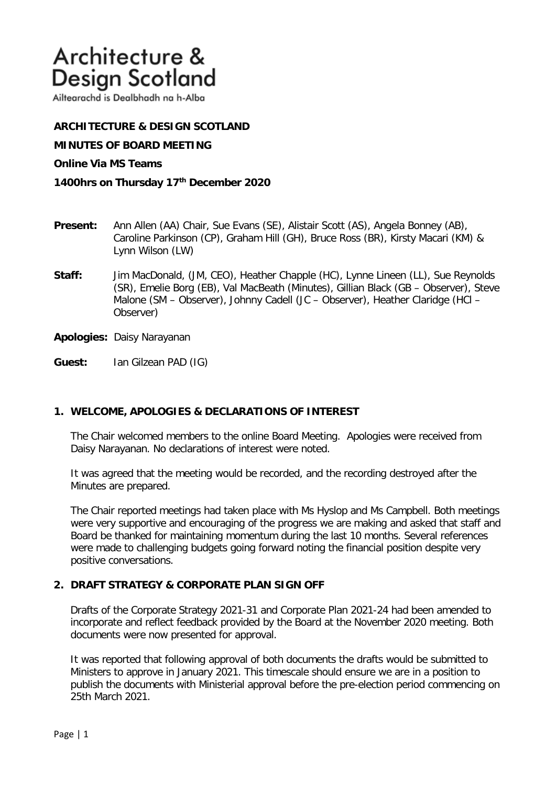# Architecture & Design Scotland

Ailtearachd is Dealbhadh na h-Alba

## **ARCHITECTURE & DESIGN SCOTLAND**

**MINUTES OF BOARD MEETING** 

#### **Online Via MS Teams**

#### **1400hrs on Thursday 17th December 2020**

- **Present:** Ann Allen (AA) Chair, Sue Evans (SE), Alistair Scott (AS), Angela Bonney (AB), Caroline Parkinson (CP), Graham Hill (GH), Bruce Ross (BR), Kirsty Macari (KM) & Lynn Wilson (LW)
- **Staff:** Jim MacDonald, (JM, CEO), Heather Chapple (HC), Lynne Lineen (LL), Sue Reynolds (SR), Emelie Borg (EB), Val MacBeath (Minutes), Gillian Black (GB – Observer), Steve Malone (SM – Observer), Johnny Cadell (JC – Observer), Heather Claridge (HCl – Observer)

**Apologies:** Daisy Narayanan

**Guest:** Ian Gilzean PAD (IG)

### **1. WELCOME, APOLOGIES & DECLARATIONS OF INTEREST**

The Chair welcomed members to the online Board Meeting. Apologies were received from Daisy Narayanan. No declarations of interest were noted.

It was agreed that the meeting would be recorded, and the recording destroyed after the Minutes are prepared.

The Chair reported meetings had taken place with Ms Hyslop and Ms Campbell. Both meetings were very supportive and encouraging of the progress we are making and asked that staff and Board be thanked for maintaining momentum during the last 10 months. Several references were made to challenging budgets going forward noting the financial position despite very positive conversations.

### **2. DRAFT STRATEGY & CORPORATE PLAN SIGN OFF**

Drafts of the Corporate Strategy 2021-31 and Corporate Plan 2021-24 had been amended to incorporate and reflect feedback provided by the Board at the November 2020 meeting. Both documents were now presented for approval.

It was reported that following approval of both documents the drafts would be submitted to Ministers to approve in January 2021. This timescale should ensure we are in a position to publish the documents with Ministerial approval before the pre-election period commencing on 25th March 2021.